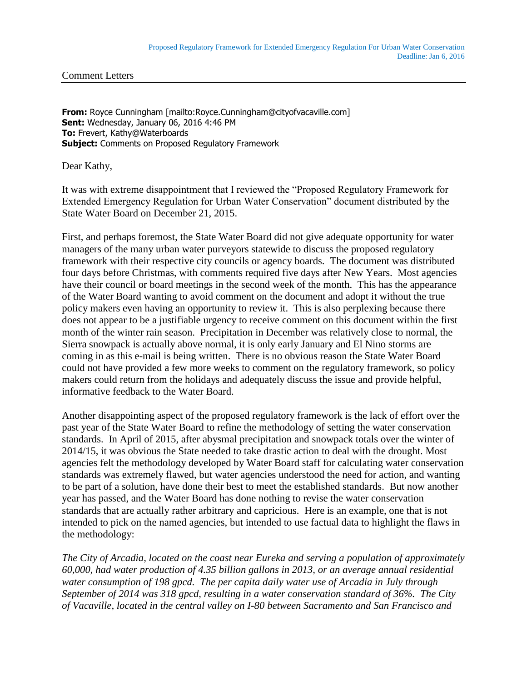Comment Letters

**From:** Royce Cunningham [mailto:Royce.Cunningham@cityofvacaville.com] **Sent:** Wednesday, January 06, 2016 4:46 PM **To:** Frevert, Kathy@Waterboards **Subject:** Comments on Proposed Regulatory Framework

Dear Kathy,

It was with extreme disappointment that I reviewed the "Proposed Regulatory Framework for Extended Emergency Regulation for Urban Water Conservation" document distributed by the State Water Board on December 21, 2015.

First, and perhaps foremost, the State Water Board did not give adequate opportunity for water managers of the many urban water purveyors statewide to discuss the proposed regulatory framework with their respective city councils or agency boards. The document was distributed four days before Christmas, with comments required five days after New Years. Most agencies have their council or board meetings in the second week of the month. This has the appearance of the Water Board wanting to avoid comment on the document and adopt it without the true policy makers even having an opportunity to review it. This is also perplexing because there does not appear to be a justifiable urgency to receive comment on this document within the first month of the winter rain season. Precipitation in December was relatively close to normal, the Sierra snowpack is actually above normal, it is only early January and El Nino storms are coming in as this e-mail is being written. There is no obvious reason the State Water Board could not have provided a few more weeks to comment on the regulatory framework, so policy makers could return from the holidays and adequately discuss the issue and provide helpful, informative feedback to the Water Board.

Another disappointing aspect of the proposed regulatory framework is the lack of effort over the past year of the State Water Board to refine the methodology of setting the water conservation standards. In April of 2015, after abysmal precipitation and snowpack totals over the winter of 2014/15, it was obvious the State needed to take drastic action to deal with the drought. Most agencies felt the methodology developed by Water Board staff for calculating water conservation standards was extremely flawed, but water agencies understood the need for action, and wanting to be part of a solution, have done their best to meet the established standards. But now another year has passed, and the Water Board has done nothing to revise the water conservation standards that are actually rather arbitrary and capricious. Here is an example, one that is not intended to pick on the named agencies, but intended to use factual data to highlight the flaws in the methodology:

*The City of Arcadia, located on the coast near Eureka and serving a population of approximately 60,000, had water production of 4.35 billion gallons in 2013, or an average annual residential water consumption of 198 gpcd. The per capita daily water use of Arcadia in July through September of 2014 was 318 gpcd, resulting in a water conservation standard of 36%. The City of Vacaville, located in the central valley on I-80 between Sacramento and San Francisco and*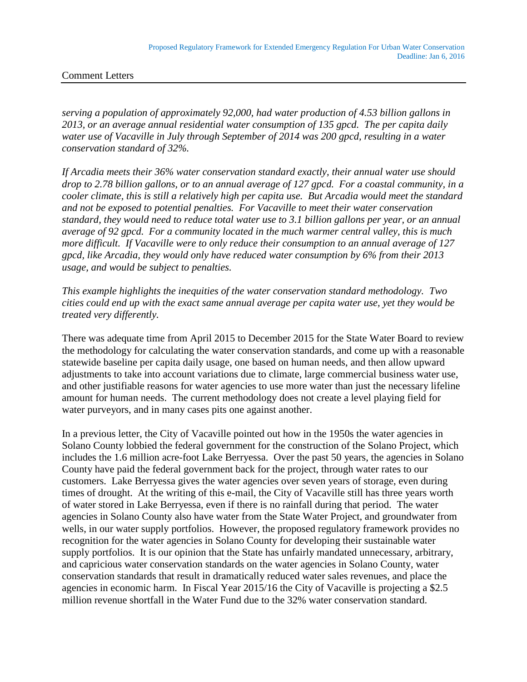## Comment Letters

*serving a population of approximately 92,000, had water production of 4.53 billion gallons in 2013, or an average annual residential water consumption of 135 gpcd. The per capita daily water use of Vacaville in July through September of 2014 was 200 gpcd, resulting in a water conservation standard of 32%.*

*If Arcadia meets their 36% water conservation standard exactly, their annual water use should drop to 2.78 billion gallons, or to an annual average of 127 gpcd. For a coastal community, in a cooler climate, this is still a relatively high per capita use. But Arcadia would meet the standard and not be exposed to potential penalties. For Vacaville to meet their water conservation standard, they would need to reduce total water use to 3.1 billion gallons per year, or an annual average of 92 gpcd. For a community located in the much warmer central valley, this is much more difficult. If Vacaville were to only reduce their consumption to an annual average of 127 gpcd, like Arcadia, they would only have reduced water consumption by 6% from their 2013 usage, and would be subject to penalties.*

*This example highlights the inequities of the water conservation standard methodology. Two cities could end up with the exact same annual average per capita water use, yet they would be treated very differently.* 

There was adequate time from April 2015 to December 2015 for the State Water Board to review the methodology for calculating the water conservation standards, and come up with a reasonable statewide baseline per capita daily usage, one based on human needs, and then allow upward adjustments to take into account variations due to climate, large commercial business water use, and other justifiable reasons for water agencies to use more water than just the necessary lifeline amount for human needs. The current methodology does not create a level playing field for water purveyors, and in many cases pits one against another.

In a previous letter, the City of Vacaville pointed out how in the 1950s the water agencies in Solano County lobbied the federal government for the construction of the Solano Project, which includes the 1.6 million acre-foot Lake Berryessa. Over the past 50 years, the agencies in Solano County have paid the federal government back for the project, through water rates to our customers. Lake Berryessa gives the water agencies over seven years of storage, even during times of drought. At the writing of this e-mail, the City of Vacaville still has three years worth of water stored in Lake Berryessa, even if there is no rainfall during that period. The water agencies in Solano County also have water from the State Water Project, and groundwater from wells, in our water supply portfolios. However, the proposed regulatory framework provides no recognition for the water agencies in Solano County for developing their sustainable water supply portfolios. It is our opinion that the State has unfairly mandated unnecessary, arbitrary, and capricious water conservation standards on the water agencies in Solano County, water conservation standards that result in dramatically reduced water sales revenues, and place the agencies in economic harm. In Fiscal Year 2015/16 the City of Vacaville is projecting a \$2.5 million revenue shortfall in the Water Fund due to the 32% water conservation standard.